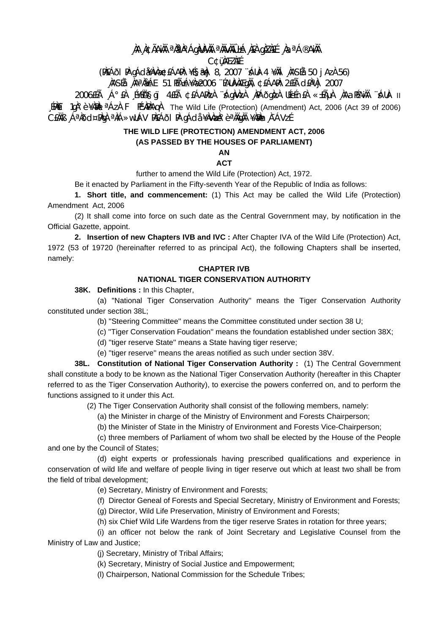# **¸ÀA¸À¢ÃAiÀÄ ªÀåªÀºÁgÀUÀ¼ÀÄ ªÀÄvÀÄÛ ±Á¸À£À gÀZÀ£É ¸ÀaªÁ®AiÀÄ**

**C¢ü¸ÀÆZÀ£É** 

# **(PÀ£ÁðlPÀ gÁdå¥ÀvÀæ ¢£ÁAPÀ: ¥É§æªÀj 8, 2007 ¨sÁUÀ-4 ¥ÀÄl¸ÀASÉå: 50 jAzÀ 56) ¸ÀASÉå: ¸ÀAªÀå±ÁE 51 PÉñÁ¥Àæ 2006 ¨ÉAUÀ¼ÀÆgÀÄ, ¢£ÁAPÀ: 2£Éà d£ÀªÀj 2007**

2006£Éà ¸Á°£À ¸É¥ÉÖA§gï 4£Éà ¢£ÁAPÀzÀ ¨sÁgÀvÀzÀ ¸ÀPÁðgÀzÀ UÉeÉn£À «±ÉõÀ ¸ÀAaPÉAiÀÄ ¨sÁUÀ- II LEPAET 1gˡè ¥ÀPÀL <sup>a</sup> ÁzÀ F PÉVAPÀAGÀ The Wild Life (Protection) (Amendment) Act, 2006 (Act 39 of 2006) C£ÀÄB ¸ÁªÀðd¤PÀgÀ ªÀiÁ»wUÁV PÀ£ÁðI PÀ gÁdå ¥ÀvÀæÀ°è ªÀÄgÀÄ ¥Àæn,À¯ÁVzÉ

### **THE WILD LIFE (PROTECTION) AMENDMENT ACT, 2006 (AS PASSED BY THE HOUSES OF PARLIAMENT)**

**AN** 

### **ACT**

further to amend the Wild Life (Protection) Act, 1972.

Be it enacted by Parliament in the Fifty-seventh Year of the Republic of India as follows:

 **1. Short title, and commencement:** (1) This Act may be called the Wild Life (Protection) Amendment Act, 2006

 (2) It shall come into force on such date as the Central Government may, by notification in the Official Gazette, appoint.

**2. Insertion of new Chapters IVB and IVC :** After Chapter IVA of the Wild Life (Protection) Act, 1972 (53 of 19720 (hereinafter referred to as principal Act), the following Chapters shall be inserted, namely:

### **CHAPTER IVB**

# **NATIONAL TIGER CONSERVATION AUTHORITY**

 **38K. Definitions :** In this Chapter,

 (a) ''National Tiger Conservation Authority'' means the Tiger Conservation Authority constituted under section 38L;

(b) ''Steering Committee'' means the Committee constituted under section 38 U;

(c) ''Tiger Conservation Foudation'' means the foundation established under section 38X;

(d) ''tiger reserve State'' means a State having tiger reserve;

(e) ''tiger reserve'' means the areas notified as such under section 38V.

**38L. Constitution of National Tiger Conservation Authority :** (1) The Central Government shall constitute a body to be known as the National Tiger Conservation Authority (hereafter in this Chapter referred to as the Tiger Conservation Authority), to exercise the powers conferred on, and to perform the functions assigned to it under this Act.

(2) The Tiger Conservation Authority shall consist of the following members, namely:

(a) the Minister in charge of the Ministry of Environment and Forests Chairperson;

(b) the Minister of State in the Ministry of Environment and Forests Vice-Chairperson;

 (c) three members of Parliament of whom two shall be elected by the House of the People and one by the Council of States;

 (d) eight experts or professionals having prescribed qualifications and experience in conservation of wild life and welfare of people living in tiger reserve out which at least two shall be from the field of tribal development;

(e) Secretary, Ministry of Environment and Forests;

(f) Director Geneal of Forests and Special Secretary, Ministry of Environment and Forests;

(g) Director, Wild Life Preservation, Ministry of Environment and Forests;

(h) six Chief Wild Life Wardens from the tiger reserve Srates in rotation for three years;

 (i) an officer not below the rank of Joint Secretary and Legislative Counsel from the Ministry of Law and Justice;

(j) Secretary, Ministry of Tribal Affairs;

(k) Secretary, Ministry of Social Justice and Empowerment;

(l) Chairperson, National Commission for the Schedule Tribes;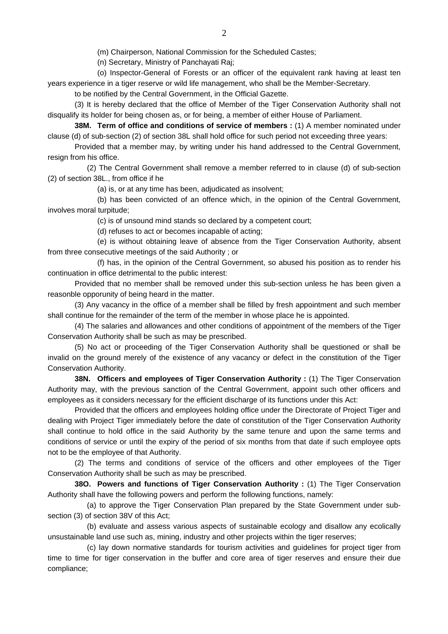(m) Chairperson, National Commission for the Scheduled Castes;

(n) Secretary, Ministry of Panchayati Raj;

 (o) Inspector-General of Forests or an officer of the equivalent rank having at least ten years experience in a tiger reserve or wild life management, who shall be the Member-Secretary.

to be notified by the Central Government, in the Official Gazette.

 (3) It is hereby declared that the office of Member of the Tiger Conservation Authority shall not disqualify its holder for being chosen as, or for being, a member of either House of Parliament.

**38M. Term of office and conditions of service of members :** (1) A member nominated under clause (d) of sub-section (2) of section 38L shall hold office for such period not exceeding three years:

 Provided that a member may, by writing under his hand addressed to the Central Government, resign from his office.

 (2) The Central Government shall remove a member referred to in clause (d) of sub-section (2) of section 38L., from office if he

(a) is, or at any time has been, adjudicated as insolvent;

 (b) has been convicted of an offence which, in the opinion of the Central Government, involves moral turpitude;

(c) is of unsound mind stands so declared by a competent court;

(d) refuses to act or becomes incapable of acting;

 (e) is without obtaining leave of absence from the Tiger Conservation Authority, absent from three consecutive meetings of the said Authority ; or

 (f) has, in the opinion of the Central Government, so abused his position as to render his continuation in office detrimental to the public interest:

 Provided that no member shall be removed under this sub-section unless he has been given a reasonble opporunity of being heard in the matter.

 (3) Any vacancy in the office of a member shall be filled by fresh appointment and such member shall continue for the remainder of the term of the member in whose place he is appointed.

 (4) The salaries and allowances and other conditions of appointment of the members of the Tiger Conservation Authority shall be such as may be prescribed.

 (5) No act or proceeding of the Tiger Conservation Authority shall be questioned or shall be invalid on the ground merely of the existence of any vacancy or defect in the constitution of the Tiger Conservation Authority.

**38N. Officers and employees of Tiger Conservation Authority :** (1) The Tiger Conservation Authority may, with the previous sanction of the Central Government, appoint such other officers and employees as it considers necessary for the efficient discharge of its functions under this Act:

 Provided that the officers and employees holding office under the Directorate of Project Tiger and dealing with Project Tiger immediately before the date of constitution of the Tiger Conservation Authority shall continue to hold office in the said Authority by the same tenure and upon the same terms and conditions of service or until the expiry of the period of six months from that date if such employee opts not to be the employee of that Authority.

 (2) The terms and conditions of service of the officers and other employees of the Tiger Conservation Authority shall be such as may be prescribed.

**38O. Powers and functions of Tiger Conservation Authority :** (1) The Tiger Conservation Authority shall have the following powers and perform the following functions, namely:

 (a) to approve the Tiger Conservation Plan prepared by the State Government under subsection (3) of section 38V of this Act;

 (b) evaluate and assess various aspects of sustainable ecology and disallow any ecolically unsustainable land use such as, mining, industry and other projects within the tiger reserves;

 (c) lay down normative standards for tourism activities and guidelines for project tiger from time to time for tiger conservation in the buffer and core area of tiger reserves and ensure their due compliance;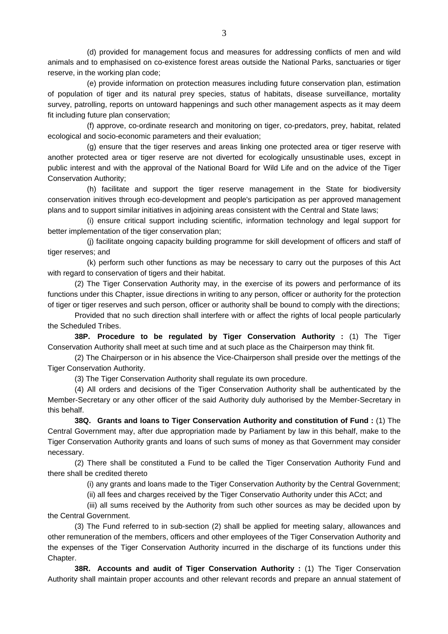(d) provided for management focus and measures for addressing conflicts of men and wild animals and to emphasised on co-existence forest areas outside the National Parks, sanctuaries or tiger reserve, in the working plan code;

 (e) provide information on protection measures including future conservation plan, estimation of population of tiger and its natural prey species, status of habitats, disease surveillance, mortality survey, patrolling, reports on untoward happenings and such other management aspects as it may deem fit including future plan conservation;

 (f) approve, co-ordinate research and monitoring on tiger, co-predators, prey, habitat, related ecological and socio-economic parameters and their evaluation;

 (g) ensure that the tiger reserves and areas linking one protected area or tiger reserve with another protected area or tiger reserve are not diverted for ecologically unsustinable uses, except in public interest and with the approval of the National Board for Wild Life and on the advice of the Tiger Conservation Authority;

 (h) facilitate and support the tiger reserve management in the State for biodiversity conservation initives through eco-development and people's participation as per approved management plans and to support similar initiatives in adjoining areas consistent with the Central and State laws;

 (i) ensure critical support including scientific, information technology and legal support for better implementation of the tiger conservation plan;

 (j) facilitate ongoing capacity building programme for skill development of officers and staff of tiger reserves; and

 (k) perform such other functions as may be necessary to carry out the purposes of this Act with regard to conservation of tigers and their habitat.

 (2) The Tiger Conservation Authority may, in the exercise of its powers and performance of its functions under this Chapter, issue directions in writing to any person, officer or authority for the protection of tiger or tiger reserves and such person, officer or authority shall be bound to comply with the directions;

 Provided that no such direction shall interfere with or affect the rights of local people particularly the Scheduled Tribes.

**38P. Procedure to be regulated by Tiger Conservation Authority :** (1) The Tiger Conservation Authority shall meet at such time and at such place as the Chairperson may think fit.

 (2) The Chairperson or in his absence the Vice-Chairperson shall preside over the mettings of the Tiger Conservation Authority.

(3) The Tiger Conservation Authority shall regulate its own procedure.

 (4) All orders and decisions of the Tiger Conservation Authority shall be authenticated by the Member-Secretary or any other officer of the said Authority duly authorised by the Member-Secretary in this behalf.

**38Q. Grants and loans to Tiger Conservation Authority and constitution of Fund :** (1) The Central Government may, after due appropriation made by Parliament by law in this behalf, make to the Tiger Conservation Authority grants and loans of such sums of money as that Government may consider necessary.

 (2) There shall be constituted a Fund to be called the Tiger Conservation Authority Fund and there shall be credited thereto

(i) any grants and loans made to the Tiger Conservation Authority by the Central Government;

(ii) all fees and charges received by the Tiger Conservatio Authority under this ACct; and

 (iii) all sums received by the Authority from such other sources as may be decided upon by the Central Government.

 (3) The Fund referred to in sub-section (2) shall be applied for meeting salary, allowances and other remuneration of the members, officers and other employees of the Tiger Conservation Authority and the expenses of the Tiger Conservation Authority incurred in the discharge of its functions under this Chapter.

**38R. Accounts and audit of Tiger Conservation Authority :** (1) The Tiger Conservation Authority shall maintain proper accounts and other relevant records and prepare an annual statement of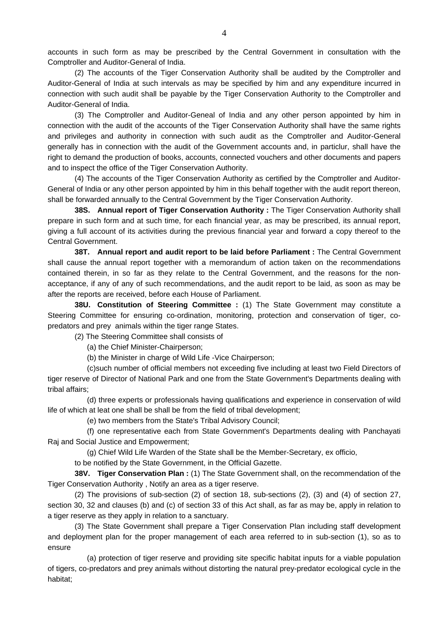accounts in such form as may be prescribed by the Central Government in consultation with the Comptroller and Auditor-General of India.

 (2) The accounts of the Tiger Conservation Authority shall be audited by the Comptroller and Auditor-General of India at such intervals as may be specified by him and any expenditure incurred in connection with such audit shall be payable by the Tiger Conservation Authority to the Comptroller and Auditor-General of India.

 (3) The Comptroller and Auditor-Geneal of India and any other person appointed by him in connection with the audit of the accounts of the Tiger Conservation Authority shall have the same rights and privileges and authority in connection with such audit as the Comptroller and Auditor-General generally has in connection with the audit of the Government accounts and, in particlur, shall have the right to demand the production of books, accounts, connected vouchers and other documents and papers and to inspect the office of the Tiger Conservation Authority.

 (4) The accounts of the Tiger Conservation Authority as certified by the Comptroller and Auditor-General of India or any other person appointed by him in this behalf together with the audit report thereon, shall be forwarded annually to the Central Government by the Tiger Conservation Authority.

**38S. Annual report of Tiger Conservation Authority :** The Tiger Conservation Authority shall prepare in such form and at such time, for each financial year, as may be prescribed, its annual report, giving a full account of its activities during the previous financial year and forward a copy thereof to the Central Government.

**38T. Annual report and audit report to be laid before Parliament :** The Central Government shall cause the annual report together with a memorandum of action taken on the recommendations contained therein, in so far as they relate to the Central Government, and the reasons for the nonacceptance, if any of any of such recommendations, and the audit report to be laid, as soon as may be after the reports are received, before each House of Parliament.

**38U. Constitution of Steering Committee :** (1) The State Government may constitute a Steering Committee for ensuring co-ordination, monitoring, protection and conservation of tiger, copredators and prey animals within the tiger range States.

(2) The Steering Committee shall consists of

(a) the Chief Minister-Chairperson;

(b) the Minister in charge of Wild Life -Vice Chairperson;

 (c)such number of official members not exceeding five including at least two Field Directors of tiger reserve of Director of National Park and one from the State Government's Departments dealing with tribal affairs;

 (d) three experts or professionals having qualifications and experience in conservation of wild life of which at leat one shall be shall be from the field of tribal development;

(e) two members from the State's Tribal Advisory Council;

 (f) one representative each from State Government's Departments dealing with Panchayati Raj and Social Justice and Empowerment;

(g) Chief Wild Life Warden of the State shall be the Member-Secretary, ex officio,

to be notified by the State Government, in the Official Gazette.

**38V. Tiger Conservation Plan :** (1) The State Government shall, on the recommendation of the Tiger Conservation Authority , Notify an area as a tiger reserve.

 (2) The provisions of sub-section (2) of section 18, sub-sections (2), (3) and (4) of section 27, section 30, 32 and clauses (b) and (c) of section 33 of this Act shall, as far as may be, apply in relation to a tiger reserve as they apply in relation to a sanctuary.

 (3) The State Government shall prepare a Tiger Conservation Plan including staff development and deployment plan for the proper management of each area referred to in sub-section (1), so as to ensure

 (a) protection of tiger reserve and providing site specific habitat inputs for a viable population of tigers, co-predators and prey animals without distorting the natural prey-predator ecological cycle in the habitat;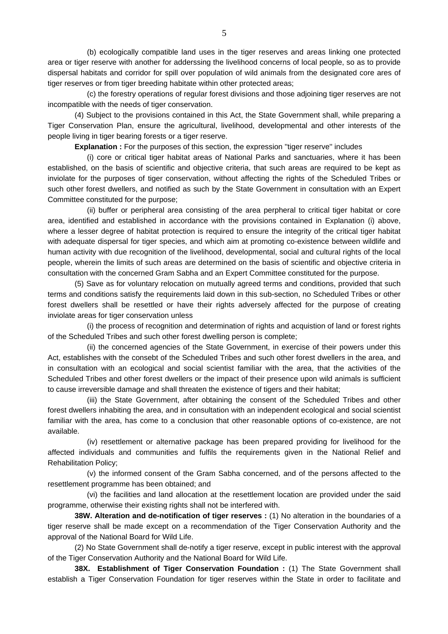(b) ecologically compatible land uses in the tiger reserves and areas linking one protected area or tiger reserve with another for adderssing the livelihood concerns of local people, so as to provide dispersal habitats and corridor for spill over population of wild animals from the designated core ares of tiger reserves or from tiger breeding habitate within other protected areas;

 (c) the forestry operations of regular forest divisions and those adjoining tiger reserves are not incompatible with the needs of tiger conservation.

 (4) Subject to the provisions contained in this Act, the State Government shall, while preparing a Tiger Conservation Plan, ensure the agricultural, livelihood, developmental and other interests of the people living in tiger bearing forests or a tiger reserve.

**Explanation :** For the purposes of this section, the expression "tiger reserve" includes

 (i) core or critical tiger habitat areas of National Parks and sanctuaries, where it has been established, on the basis of scientific and objective criteria, that such areas are required to be kept as inviolate for the purposes of tiger conservation, without affecting the rights of the Scheduled Tribes or such other forest dwellers, and notified as such by the State Government in consultation with an Expert Committee constituted for the purpose;

 (ii) buffer or peripheral area consisting of the area perpheral to critical tiger habitat or core area, identified and established in accordance with the provisions contained in Explanation (i) above, where a lesser degree of habitat protection is required to ensure the integrity of the critical tiger habitat with adequate dispersal for tiger species, and which aim at promoting co-existence between wildlife and human activity with due recognition of the livelihood, developmental, social and cultural rights of the local people, wherein the limits of such areas are determined on the basis of scientific and objective criteria in consultation with the concerned Gram Sabha and an Expert Committee constituted for the purpose.

 (5) Save as for voluntary relocation on mutually agreed terms and conditions, provided that such terms and conditions satisfy the requirements laid down in this sub-section, no Scheduled Tribes or other forest dwellers shall be resettled or have their rights adversely affected for the purpose of creating inviolate areas for tiger conservation unless

 (i) the process of recognition and determination of rights and acquistion of land or forest rights of the Scheduled Tribes and such other forest dwelling person is complete;

 (ii) the concerned agencies of the State Government, in exercise of their powers under this Act, establishes with the consebt of the Scheduled Tribes and such other forest dwellers in the area, and in consultation with an ecological and social scientist familiar with the area, that the activities of the Scheduled Tribes and other forest dwellers or the impact of their presence upon wild animals is sufficient to cause irreversible damage and shall threaten the existence of tigers and their habitat;

 (iii) the State Government, after obtaining the consent of the Scheduled Tribes and other forest dwellers inhabiting the area, and in consultation with an independent ecological and social scientist familiar with the area, has come to a conclusion that other reasonable options of co-existence, are not available.

 (iv) resettlement or alternative package has been prepared providing for livelihood for the affected individuals and communities and fulfils the requirements given in the National Relief and Rehabilitation Policy;

 (v) the informed consent of the Gram Sabha concerned, and of the persons affected to the resettlement programme has been obtained; and

 (vi) the facilities and land allocation at the resettlement location are provided under the said programme, otherwise their existing rights shall not be interfered with.

**38W. Alteration and de-notification of tiger reserves :** (1) No alteration in the boundaries of a tiger reserve shall be made except on a recommendation of the Tiger Conservation Authority and the approval of the National Board for Wild Life.

 (2) No State Government shall de-notify a tiger reserve, except in public interest with the approval of the Tiger Conservation Authority and the National Board for Wild Life.

**38X. Establishment of Tiger Conservation Foundation :** (1) The State Government shall establish a Tiger Conservation Foundation for tiger reserves within the State in order to facilitate and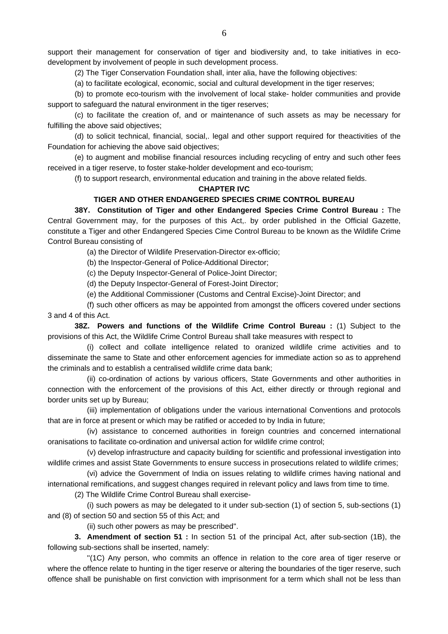support their management for conservation of tiger and biodiversity and, to take initiatives in ecodevelopment by involvement of people in such development process.

(2) The Tiger Conservation Foundation shall, inter alia, have the following objectives:

(a) to facilitate ecological, economic, social and cultural development in the tiger reserves;

 (b) to promote eco-tourism with the involvement of local stake- holder communities and provide support to safeguard the natural environment in the tiger reserves;

 (c) to facilitate the creation of, and or maintenance of such assets as may be necessary for fulfilling the above said objectives;

 (d) to solicit technical, financial, social,. legal and other support required for theactivities of the Foundation for achieving the above said objectives;

 (e) to augment and mobilise financial resources including recycling of entry and such other fees received in a tiger reserve, to foster stake-holder development and eco-tourism;

(f) to support research, environmental education and training in the above related fields.

#### **CHAPTER IVC**

#### **TIGER AND OTHER ENDANGERED SPECIES CRIME CONTROL BUREAU**

 **38Y. Constitution of Tiger and other Endangered Species Crime Control Bureau :** The Central Government may, for the purposes of this Act,. by order published in the Official Gazette, constitute a Tiger and other Endangered Species Cime Control Bureau to be known as the Wildlife Crime Control Bureau consisting of

(a) the Director of Wildlife Preservation-Director ex-officio;

(b) the Inspector-General of Police-Additional Director;

(c) the Deputy Inspector-General of Police-Joint Director;

(d) the Deputy Inspector-General of Forest-Joint Director;

(e) the Additional Commissioner (Customs and Central Excise)-Joint Director; and

 (f) such other officers as may be appointed from amongst the officers covered under sections 3 and 4 of this Act.

**38Z. Powers and functions of the Wildlife Crime Control Bureau :** (1) Subject to the provisions of this Act, the Wildlife Crime Control Bureau shall take measures with respect to

 (i) collect and collate intelligence related to oranized wildlife crime activities and to disseminate the same to State and other enforcement agencies for immediate action so as to apprehend the criminals and to establish a centralised wildlife crime data bank;

 (ii) co-ordination of actions by various officers, State Governments and other authorities in connection with the enforcement of the provisions of this Act, either directly or through regional and border units set up by Bureau;

 (iii) implementation of obligations under the various international Conventions and protocols that are in force at present or which may be ratified or acceded to by India in future;

 (iv) assistance to concerned authorities in foreign countries and concerned international oranisations to facilitate co-ordination and universal action for wildlife crime control;

 (v) develop infrastructure and capacity building for scientific and professional investigation into wildlife crimes and assist State Governments to ensure success in prosecutions related to wildlife crimes;

 (vi) advice the Government of India on issues relating to wildlife crimes having national and international remifications, and suggest changes required in relevant policy and laws from time to time.

(2) The Wildlife Crime Control Bureau shall exercise-

 (i) such powers as may be delegated to it under sub-section (1) of section 5, sub-sections (1) and (8) of section 50 and section 55 of this Act; and

(ii) such other powers as may be prescribed''.

**3. Amendment of section 51 :** In section 51 of the principal Act, after sub-section (1B), the following sub-sections shall be inserted, namely:

 ''(1C) Any person, who commits an offence in relation to the core area of tiger reserve or where the offence relate to hunting in the tiger reserve or altering the boundaries of the tiger reserve, such offence shall be punishable on first conviction with imprisonment for a term which shall not be less than